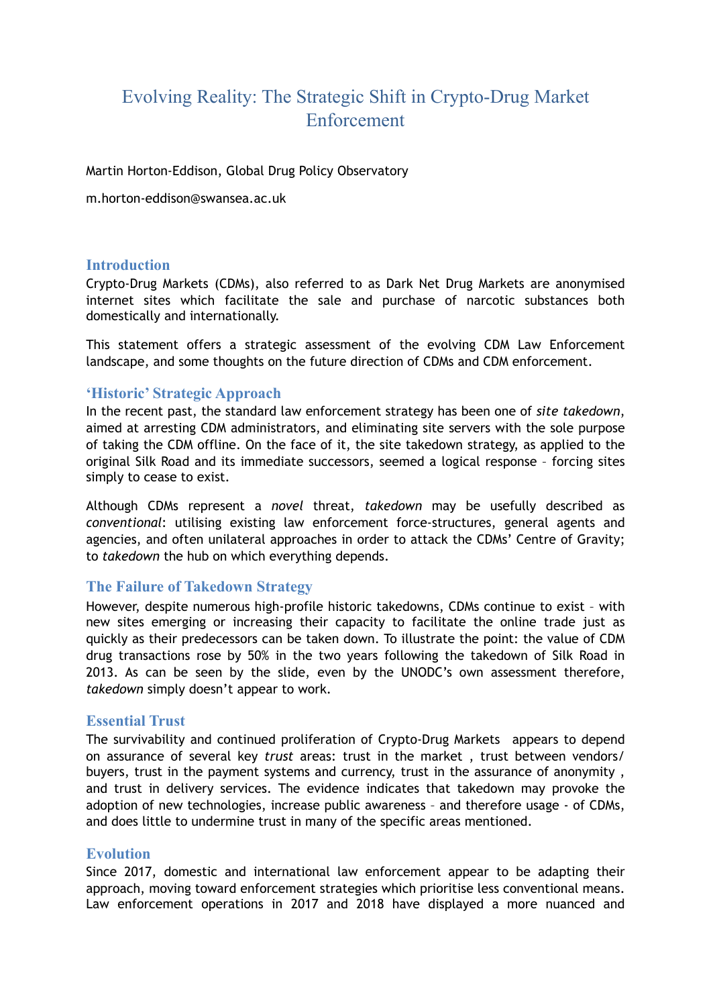# Evolving Reality: The Strategic Shift in Crypto-Drug Market Enforcement

Martin Horton-Eddison, Global Drug Policy Observatory

m.horton-eddison@swansea.ac.uk

#### **Introduction**

Crypto-Drug Markets (CDMs), also referred to as Dark Net Drug Markets are anonymised internet sites which facilitate the sale and purchase of narcotic substances both domestically and internationally.

This statement offers a strategic assessment of the evolving CDM Law Enforcement landscape, and some thoughts on the future direction of CDMs and CDM enforcement.

### **'Historic' Strategic Approach**

In the recent past, the standard law enforcement strategy has been one of *site takedown*, aimed at arresting CDM administrators, and eliminating site servers with the sole purpose of taking the CDM offline. On the face of it, the site takedown strategy, as applied to the original Silk Road and its immediate successors, seemed a logical response – forcing sites simply to cease to exist.

Although CDMs represent a *novel* threat, *takedown* may be usefully described as *conventional*: utilising existing law enforcement force-structures, general agents and agencies, and often unilateral approaches in order to attack the CDMs' Centre of Gravity; to *takedown* the hub on which everything depends.

#### **The Failure of Takedown Strategy**

However, despite numerous high-profile historic takedowns, CDMs continue to exist – with new sites emerging or increasing their capacity to facilitate the online trade just as quickly as their predecessors can be taken down. To illustrate the point: the value of CDM drug transactions rose by 50% in the two years following the takedown of Silk Road in 2013. As can be seen by the slide, even by the UNODC's own assessment therefore, *takedown* simply doesn't appear to work.

#### **Essential Trust**

The survivability and continued proliferation of Crypto-Drug Markets appears to depend on assurance of several key *trust* areas: trust in the market , trust between vendors/ buyers, trust in the payment systems and currency, trust in the assurance of anonymity , and trust in delivery services. The evidence indicates that takedown may provoke the adoption of new technologies, increase public awareness – and therefore usage - of CDMs, and does little to undermine trust in many of the specific areas mentioned.

#### **Evolution**

Since 2017, domestic and international law enforcement appear to be adapting their approach, moving toward enforcement strategies which prioritise less conventional means. Law enforcement operations in 2017 and 2018 have displayed a more nuanced and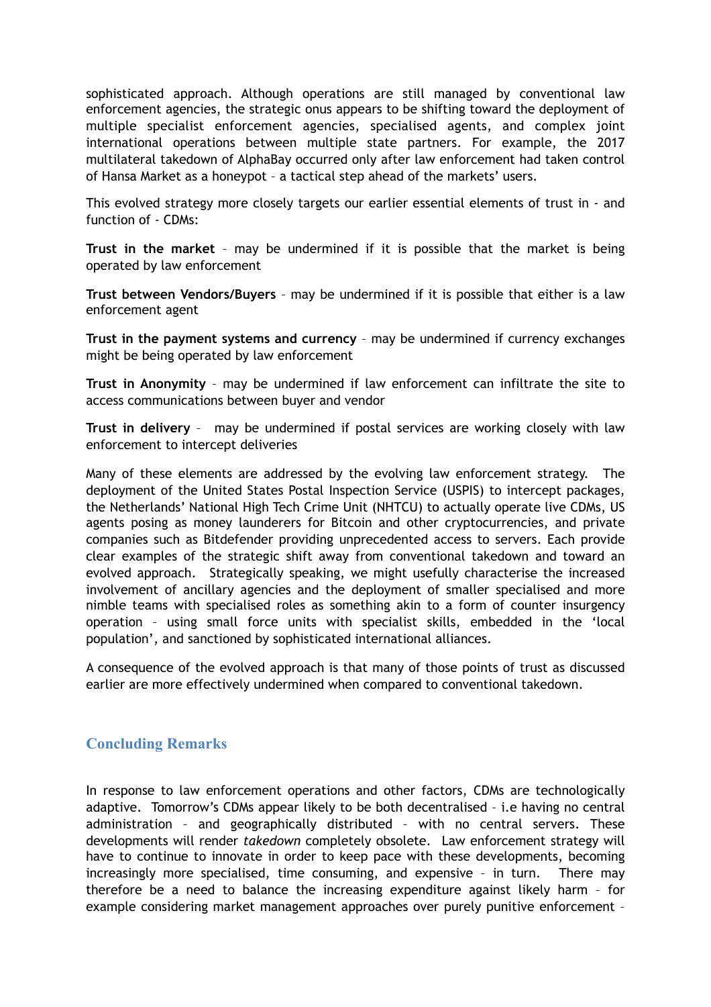sophisticated approach. Although operations are still managed by conventional law enforcement agencies, the strategic onus appears to be shifting toward the deployment of multiple specialist enforcement agencies, specialised agents, and complex joint international operations between multiple state partners. For example, the 2017 multilateral takedown of AlphaBay occurred only after law enforcement had taken control of Hansa Market as a honeypot – a tactical step ahead of the markets' users.

This evolved strategy more closely targets our earlier essential elements of trust in - and function of - CDMs:

**Trust in the market** – may be undermined if it is possible that the market is being operated by law enforcement

**Trust between Vendors/Buyers** – may be undermined if it is possible that either is a law enforcement agent

**Trust in the payment systems and currency** – may be undermined if currency exchanges might be being operated by law enforcement

**Trust in Anonymity** – may be undermined if law enforcement can infiltrate the site to access communications between buyer and vendor

**Trust in delivery** – may be undermined if postal services are working closely with law enforcement to intercept deliveries

Many of these elements are addressed by the evolving law enforcement strategy. The deployment of the United States Postal Inspection Service (USPIS) to intercept packages, the Netherlands' National High Tech Crime Unit (NHTCU) to actually operate live CDMs, US agents posing as money launderers for Bitcoin and other cryptocurrencies, and private companies such as Bitdefender providing unprecedented access to servers. Each provide clear examples of the strategic shift away from conventional takedown and toward an evolved approach. Strategically speaking, we might usefully characterise the increased involvement of ancillary agencies and the deployment of smaller specialised and more nimble teams with specialised roles as something akin to a form of counter insurgency operation – using small force units with specialist skills, embedded in the 'local population', and sanctioned by sophisticated international alliances.

A consequence of the evolved approach is that many of those points of trust as discussed earlier are more effectively undermined when compared to conventional takedown.

## **Concluding Remarks**

In response to law enforcement operations and other factors, CDMs are technologically adaptive. Tomorrow's CDMs appear likely to be both decentralised – i.e having no central administration – and geographically distributed – with no central servers. These developments will render *takedown* completely obsolete. Law enforcement strategy will have to continue to innovate in order to keep pace with these developments, becoming increasingly more specialised, time consuming, and expensive – in turn. There may therefore be a need to balance the increasing expenditure against likely harm – for example considering market management approaches over purely punitive enforcement –